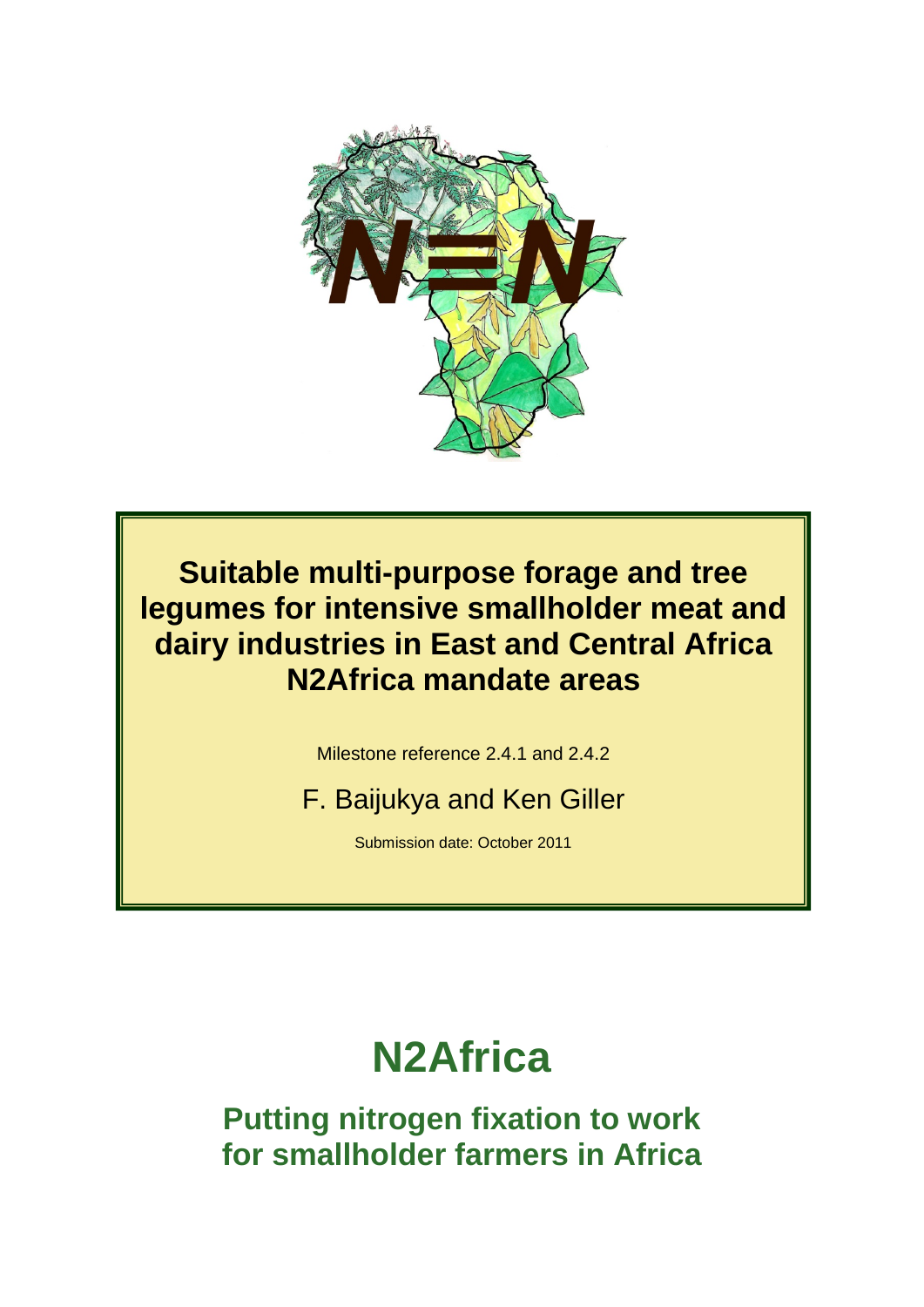

**Suitable multi-purpose forage and tree legumes for intensive smallholder meat and dairy industries in East and Central Africa N2Africa mandate areas**

Milestone reference 2.4.1 and 2.4.2

F. Baijukya and Ken Giller

Submission date: October 2011

# **N2Africa**

**Putting nitrogen fixation to work for smallholder farmers in Africa**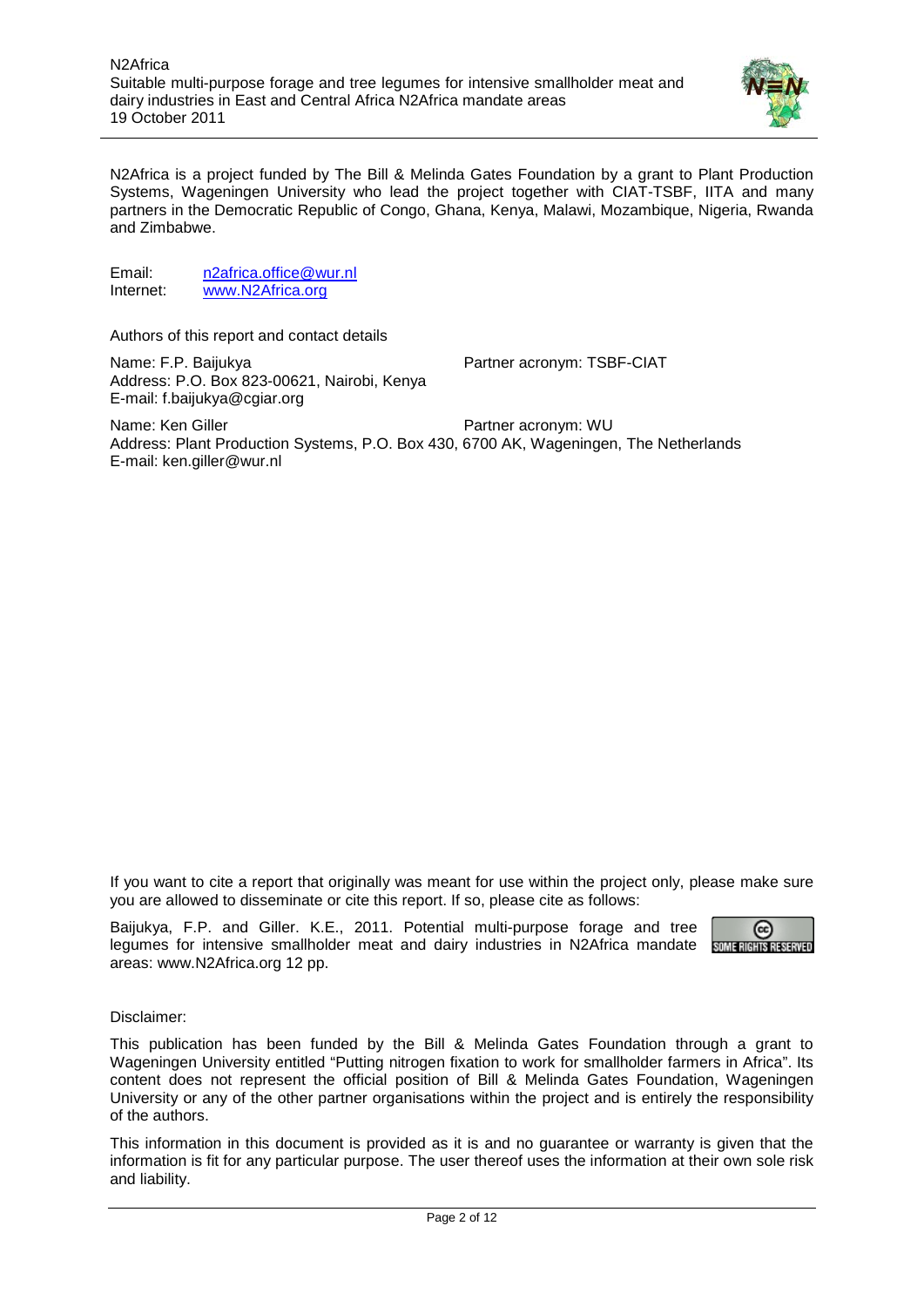

N2Africa is a project funded by The Bill & Melinda Gates Foundation by a grant to Plant Production Systems, Wageningen University who lead the project together with CIAT-TSBF, IITA and many partners in the Democratic Republic of Congo, Ghana, Kenya, Malawi, Mozambique, Nigeria, Rwanda and Zimbabwe.

Email: [n2africa.office@wur.nl](mailto:n2africa.office@wur.nl)<br>Internet: www.N2Africa.org [www.N2Africa.org](http://www.n2africa.org/)

Authors of this report and contact details

Name: F.P. Baijukya **Partner acronym: TSBF-CIAT** Address: P.O. Box 823-00621, Nairobi, Kenya E-mail: f.baijukya@cgiar.org

Name: Ken Giller **Partner acronym: WU** Address: Plant Production Systems, P.O. Box 430, 6700 AK, Wageningen, The Netherlands E-mail: ken.giller@wur.nl

If you want to cite a report that originally was meant for use within the project only, please make sure you are allowed to disseminate or cite this report. If so, please cite as follows:

Baijukya, F.P. and Giller. K.E., 2011. Potential multi-purpose forage and tree legumes for intensive smallholder meat and dairy industries in N2Africa mandate sum allews as experience areas: www.N2Africa.org 12 pp.



Disclaimer:

This publication has been funded by the Bill & Melinda Gates Foundation through a grant to Wageningen University entitled "Putting nitrogen fixation to work for smallholder farmers in Africa". Its content does not represent the official position of Bill & Melinda Gates Foundation, Wageningen University or any of the other partner organisations within the project and is entirely the responsibility of the authors.

This information in this document is provided as it is and no guarantee or warranty is given that the information is fit for any particular purpose. The user thereof uses the information at their own sole risk and liability.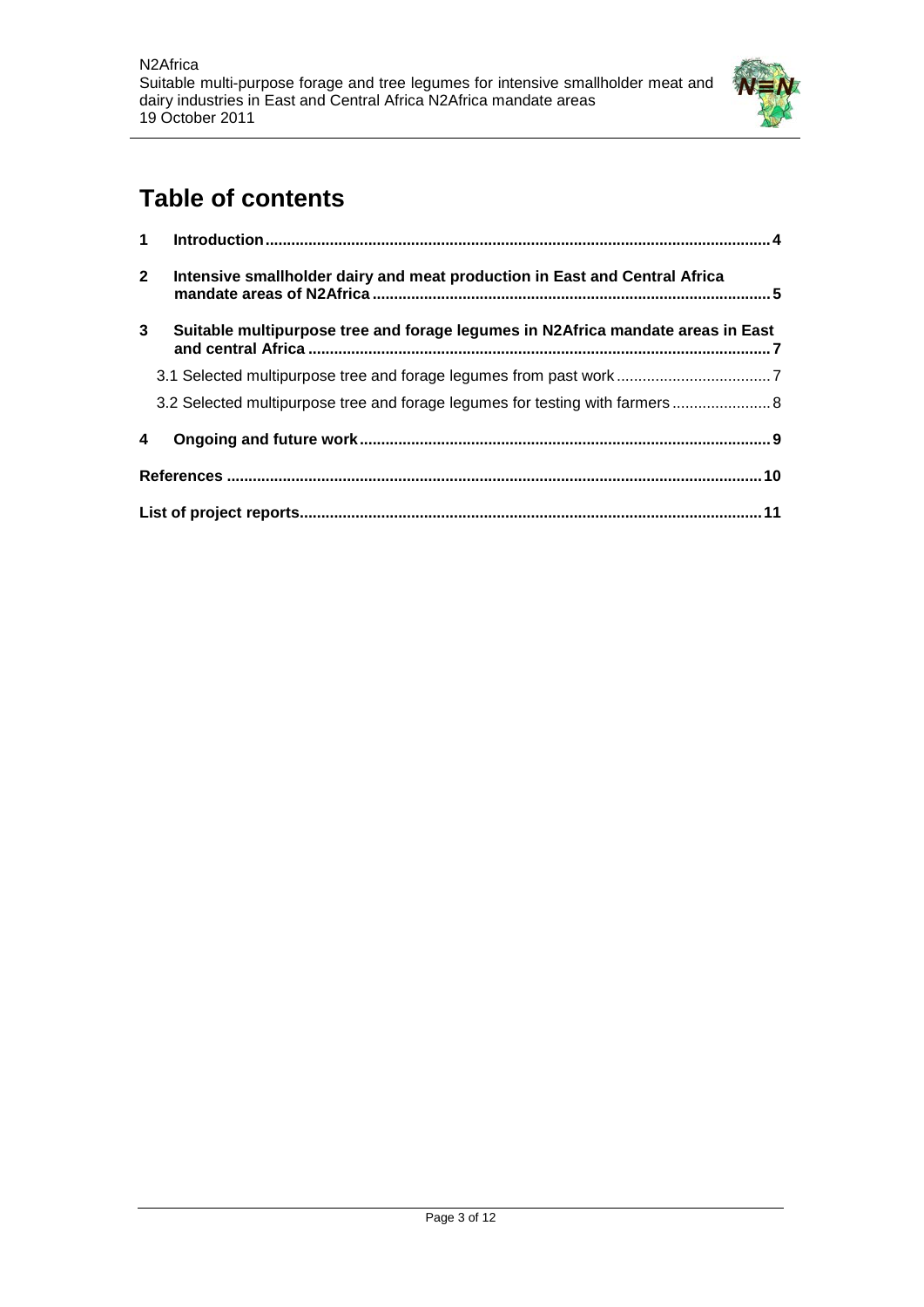

# **Table of contents**

| 1            |                                                                                 |
|--------------|---------------------------------------------------------------------------------|
| $\mathbf{2}$ | Intensive smallholder dairy and meat production in East and Central Africa      |
| 3            | Suitable multipurpose tree and forage legumes in N2Africa mandate areas in East |
|              |                                                                                 |
|              | 3.2 Selected multipurpose tree and forage legumes for testing with farmers  8   |
| 4            |                                                                                 |
|              |                                                                                 |
|              |                                                                                 |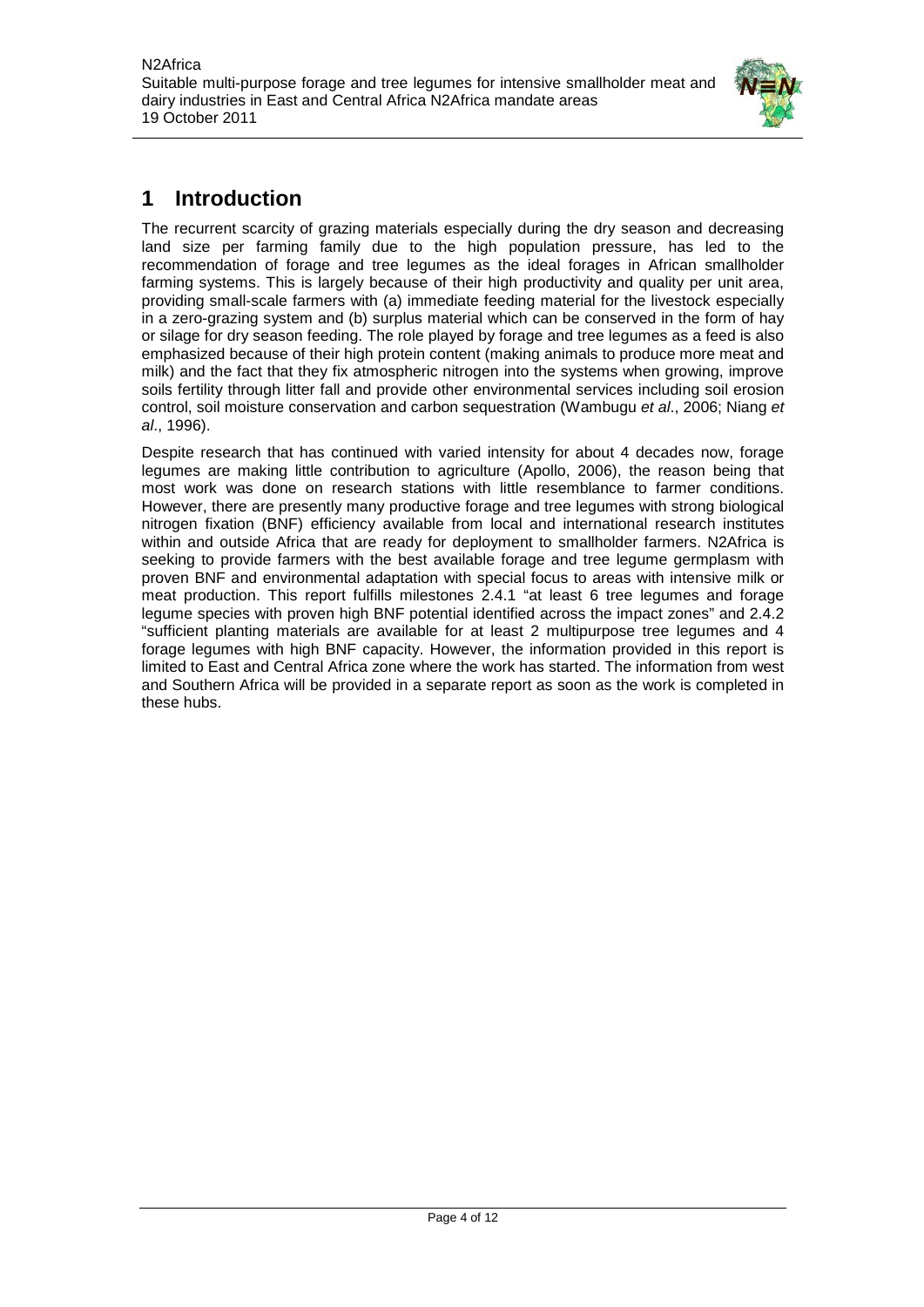

## <span id="page-3-0"></span>**1 Introduction**

The recurrent scarcity of grazing materials especially during the dry season and decreasing land size per farming family due to the high population pressure, has led to the recommendation of forage and tree legumes as the ideal forages in African smallholder farming systems. This is largely because of their high productivity and quality per unit area, providing small-scale farmers with (a) immediate feeding material for the livestock especially in a zero-grazing system and (b) surplus material which can be conserved in the form of hay or silage for dry season feeding. The role played by forage and tree legumes as a feed is also emphasized because of their high protein content (making animals to produce more meat and milk) and the fact that they fix atmospheric nitrogen into the systems when growing, improve soils fertility through litter fall and provide other environmental services including soil erosion control, soil moisture conservation and carbon sequestration (Wambugu *et al*., 2006; Niang *et al*., 1996).

Despite research that has continued with varied intensity for about 4 decades now, forage legumes are making little contribution to agriculture (Apollo, 2006), the reason being that most work was done on research stations with little resemblance to farmer conditions. However, there are presently many productive forage and tree legumes with strong biological nitrogen fixation (BNF) efficiency available from local and international research institutes within and outside Africa that are ready for deployment to smallholder farmers. N2Africa is seeking to provide farmers with the best available forage and tree legume germplasm with proven BNF and environmental adaptation with special focus to areas with intensive milk or meat production. This report fulfills milestones 2.4.1 "at least 6 tree legumes and forage legume species with proven high BNF potential identified across the impact zones" and 2.4.2 "sufficient planting materials are available for at least 2 multipurpose tree legumes and 4 forage legumes with high BNF capacity. However, the information provided in this report is limited to East and Central Africa zone where the work has started. The information from west and Southern Africa will be provided in a separate report as soon as the work is completed in these hubs.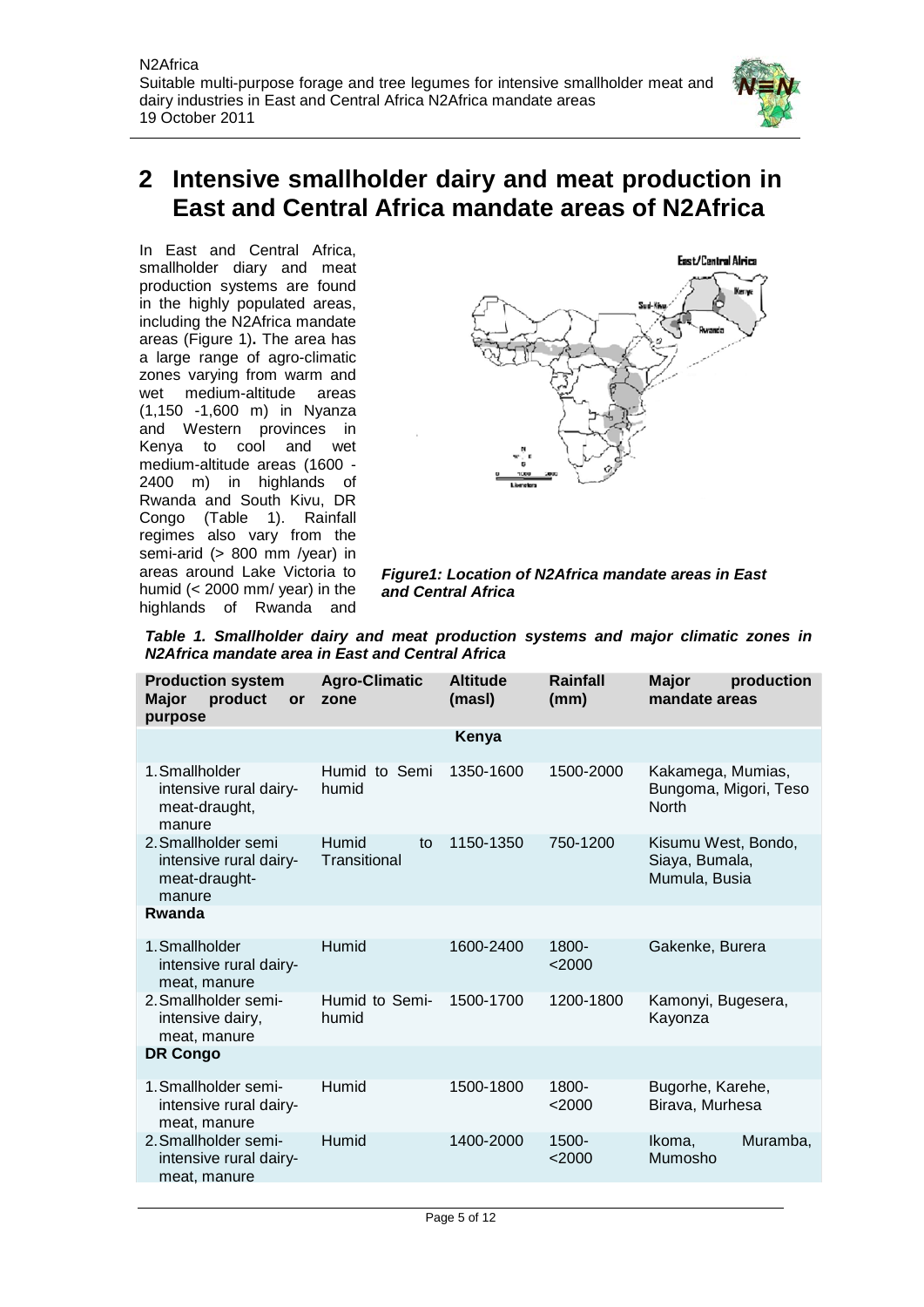

## <span id="page-4-0"></span>**2 Intensive smallholder dairy and meat production in East and Central Africa mandate areas of N2Africa**

In East and Central Africa, smallholder diary and meat production systems are found in the highly populated areas, including the N2Africa mandate areas (Figure 1)**.** The area has a large range of agro-climatic zones varying from warm and wet medium-altitude areas (1,150 -1,600 m) in Nyanza and Western provinces in Kenya to cool and wet medium-altitude areas (1600 - 2400 m) in highlands of Rwanda and South Kivu, DR Congo (Table 1). Rainfall regimes also vary from the semi-arid (> 800 mm /year) in areas around Lake Victoria to humid (< 2000 mm/ year) in the highlands of Rwanda and



*Figure1: Location of N2Africa mandate areas in East and Central Africa* 

*Table 1. Smallholder dairy and meat production systems and major climatic zones in N2Africa mandate area in East and Central Africa*

| <b>Production system</b><br><b>Major</b><br>product<br>or<br>purpose     | <b>Agro-Climatic</b><br>zone | <b>Altitude</b><br>(masl) | Rainfall<br>(mm)     | <b>Major</b><br>production<br>mandate areas                |  |  |
|--------------------------------------------------------------------------|------------------------------|---------------------------|----------------------|------------------------------------------------------------|--|--|
|                                                                          |                              | Kenya                     |                      |                                                            |  |  |
| 1. Smallholder<br>intensive rural dairy-<br>meat-draught,<br>manure      | Humid to Semi<br>humid       | 1350-1600                 | 1500-2000            | Kakamega, Mumias,<br>Bungoma, Migori, Teso<br><b>North</b> |  |  |
| 2. Smallholder semi<br>intensive rural dairy-<br>meat-draught-<br>manure | Humid<br>to<br>Transitional  | 1150-1350                 | 750-1200             | Kisumu West, Bondo,<br>Siaya, Bumala,<br>Mumula, Busia     |  |  |
| Rwanda                                                                   |                              |                           |                      |                                                            |  |  |
| 1. Smallholder<br>intensive rural dairy-<br>meat, manure                 | Humid                        | 1600-2400                 | 1800-<br>$<$ 2000    | Gakenke, Burera                                            |  |  |
| 2. Smallholder semi-<br>intensive dairy,<br>meat, manure                 | Humid to Semi-<br>humid      | 1500-1700                 | 1200-1800            | Kamonyi, Bugesera,<br>Kayonza                              |  |  |
| <b>DR Congo</b>                                                          |                              |                           |                      |                                                            |  |  |
| 1. Smallholder semi-<br>intensive rural dairy-<br>meat, manure           | Humid                        | 1500-1800                 | 1800-<br>$<$ 2000    | Bugorhe, Karehe,<br>Birava, Murhesa                        |  |  |
| 2. Smallholder semi-<br>intensive rural dairy-<br>meat, manure           | Humid                        | 1400-2000                 | $1500 -$<br>$<$ 2000 | Muramba,<br>Ikoma,<br>Mumosho                              |  |  |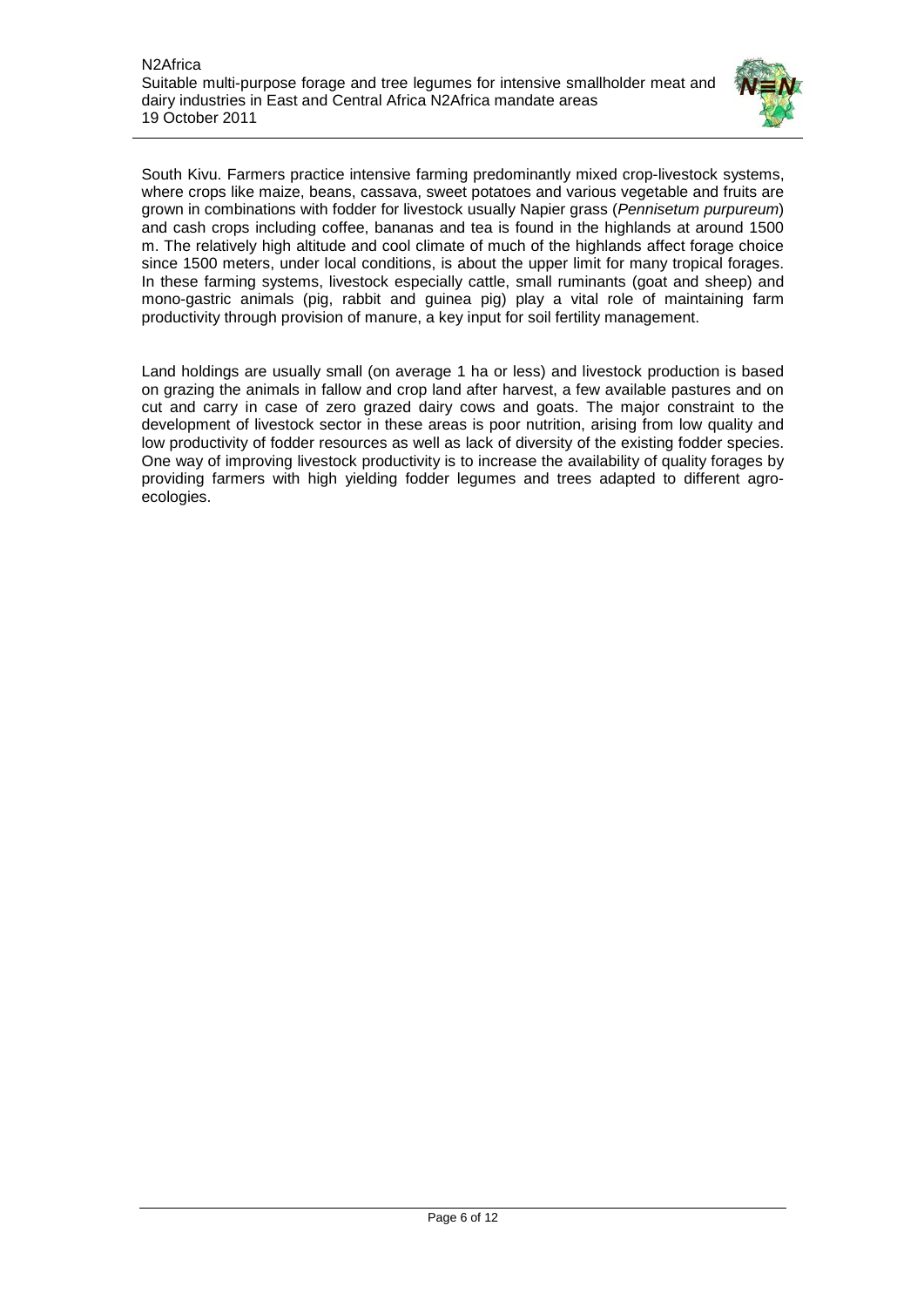

South Kivu. Farmers practice intensive farming predominantly mixed crop-livestock systems, where crops like maize, beans, cassava, sweet potatoes and various vegetable and fruits are grown in combinations with fodder for livestock usually Napier grass (*Pennisetum purpureum*) and cash crops including coffee, bananas and tea is found in the highlands at around 1500 m. The relatively high altitude and cool climate of much of the highlands affect forage choice since 1500 meters, under local conditions, is about the upper limit for many tropical forages. In these farming systems, livestock especially cattle, small ruminants (goat and sheep) and mono-gastric animals (pig, rabbit and guinea pig) play a vital role of maintaining farm productivity through provision of manure, a key input for soil fertility management.

Land holdings are usually small (on average 1 ha or less) and livestock production is based on grazing the animals in fallow and crop land after harvest, a few available pastures and on cut and carry in case of zero grazed dairy cows and goats. The major constraint to the development of livestock sector in these areas is poor nutrition, arising from low quality and low productivity of fodder resources as well as lack of diversity of the existing fodder species. One way of improving livestock productivity is to increase the availability of quality forages by providing farmers with high yielding fodder legumes and trees adapted to different agroecologies.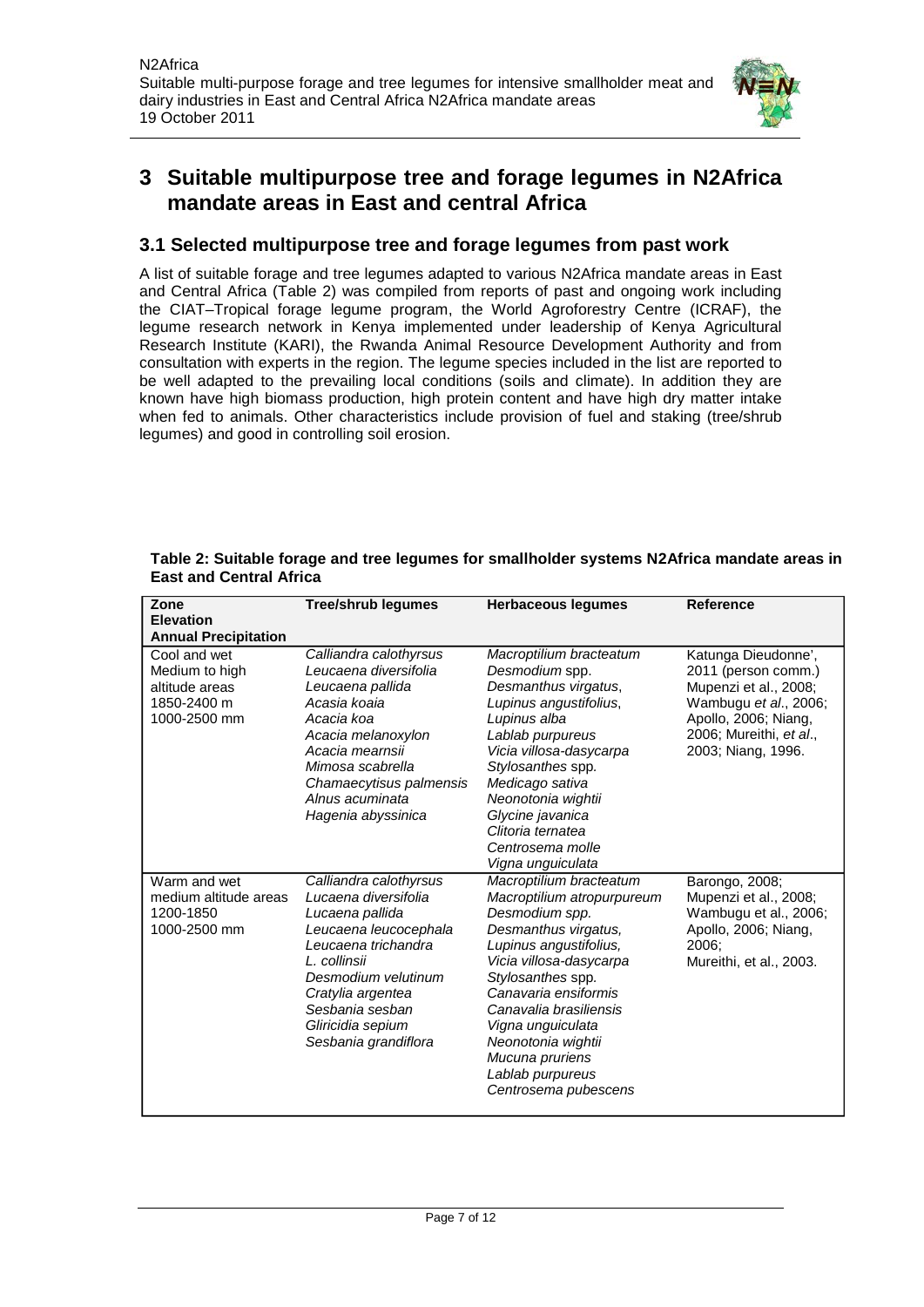

## <span id="page-6-0"></span>**3 Suitable multipurpose tree and forage legumes in N2Africa mandate areas in East and central Africa**

### <span id="page-6-1"></span>**3.1 Selected multipurpose tree and forage legumes from past work**

A list of suitable forage and tree legumes adapted to various N2Africa mandate areas in East and Central Africa (Table 2) was compiled from reports of past and ongoing work including the CIAT–Tropical forage legume program, the World Agroforestry Centre (ICRAF), the legume research network in Kenya implemented under leadership of Kenya Agricultural Research Institute (KARI), the Rwanda Animal Resource Development Authority and from consultation with experts in the region. The legume species included in the list are reported to be well adapted to the prevailing local conditions (soils and climate). In addition they are known have high biomass production, high protein content and have high dry matter intake when fed to animals. Other characteristics include provision of fuel and staking (tree/shrub legumes) and good in controlling soil erosion.

| Zone                        | <b>Tree/shrub legumes</b> | <b>Herbaceous legumes</b>             | <b>Reference</b>        |
|-----------------------------|---------------------------|---------------------------------------|-------------------------|
| <b>Elevation</b>            |                           |                                       |                         |
| <b>Annual Precipitation</b> |                           |                                       |                         |
| Cool and wet                | Calliandra calothyrsus    | Macroptilium bracteatum               | Katunga Dieudonne',     |
| Medium to high              | Leucaena diversifolia     | Desmodium spp.                        | 2011 (person comm.)     |
| altitude areas              | Leucaena pallida          | Desmanthus virgatus,                  | Mupenzi et al., 2008;   |
| 1850-2400 m                 | Acasia koaia              | Lupinus angustifolius,                | Wambugu et al., 2006;   |
| 1000-2500 mm                | Acacia koa                | Lupinus alba                          | Apollo, 2006; Niang,    |
|                             | Acacia melanoxylon        | Lablab purpureus                      | 2006; Mureithi, et al., |
|                             | Acacia mearnsii           | Vicia villosa-dasycarpa               | 2003; Niang, 1996.      |
|                             | Mimosa scabrella          | Stylosanthes spp.                     |                         |
|                             | Chamaecytisus palmensis   | Medicago sativa                       |                         |
|                             | Alnus acuminata           | Neonotonia wightii                    |                         |
|                             | Hagenia abyssinica        | Glycine javanica<br>Clitoria ternatea |                         |
|                             |                           | Centrosema molle                      |                         |
|                             |                           | Vigna unguiculata                     |                         |
| Warm and wet                | Calliandra calothyrsus    | Macroptilium bracteatum               | Barongo, 2008;          |
| medium altitude areas       | Lucaena diversifolia      | Macroptilium atropurpureum            | Mupenzi et al., 2008;   |
| 1200-1850                   | Lucaena pallida           | Desmodium spp.                        | Wambugu et al., 2006;   |
| 1000-2500 mm                | Leucaena leucocephala     | Desmanthus virgatus,                  | Apollo, 2006; Niang,    |
|                             | Leucaena trichandra       | Lupinus angustifolius,                | 2006:                   |
|                             | L. collinsii              | Vicia villosa-dasycarpa               | Mureithi, et al., 2003. |
|                             | Desmodium velutinum       | Stylosanthes spp.                     |                         |
|                             | Cratylia argentea         | Canavaria ensiformis                  |                         |
|                             | Sesbania sesban           | Canavalia brasiliensis                |                         |
|                             | Gliricidia sepium         | Vigna unguiculata                     |                         |
|                             | Sesbania grandiflora      | Neonotonia wightii                    |                         |
|                             |                           | Mucuna pruriens                       |                         |
|                             |                           | Lablab purpureus                      |                         |
|                             |                           | Centrosema pubescens                  |                         |
|                             |                           |                                       |                         |

#### **Table 2: Suitable forage and tree legumes for smallholder systems N2Africa mandate areas in East and Central Africa**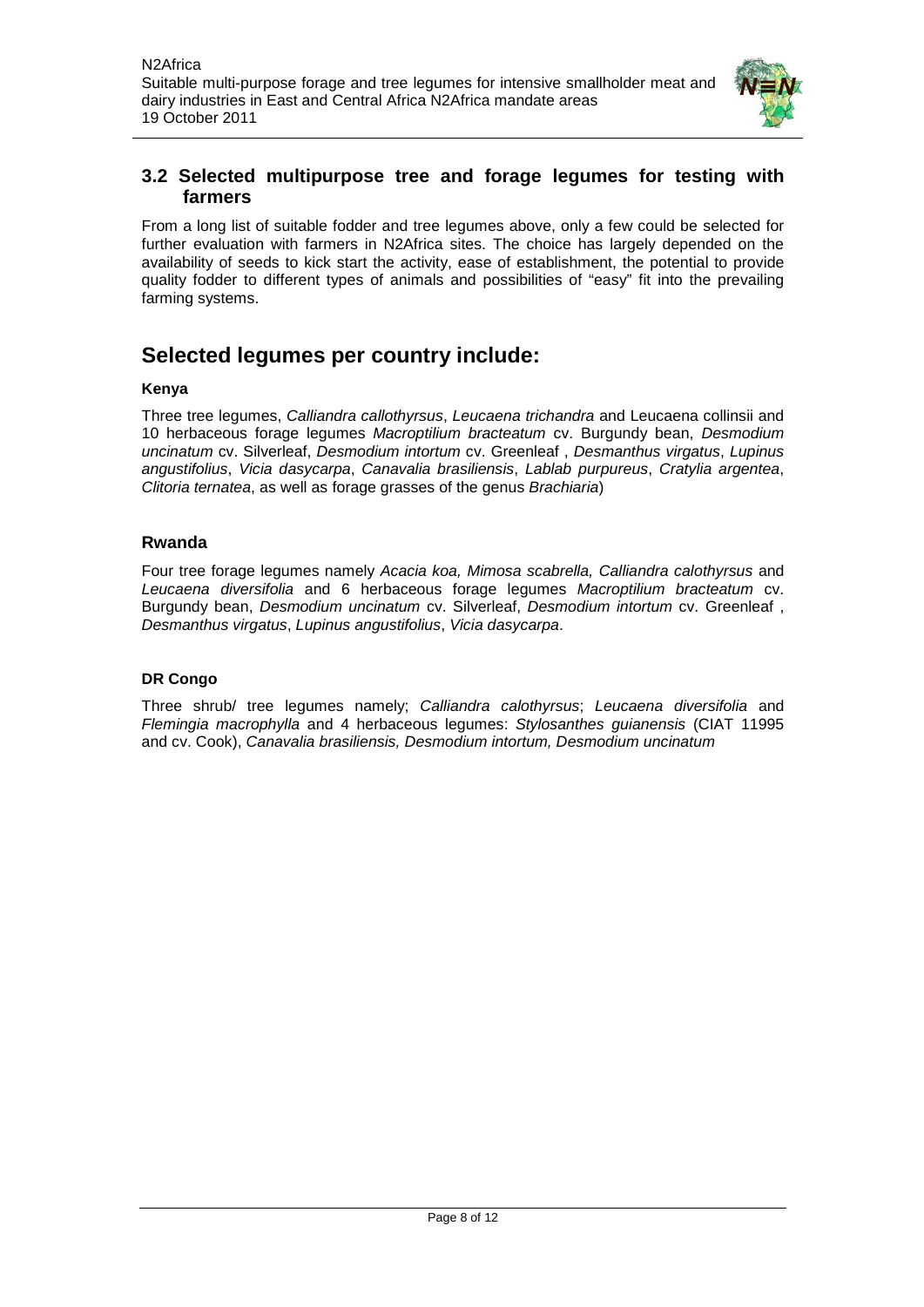

#### <span id="page-7-0"></span>**3.2 Selected multipurpose tree and forage legumes for testing with farmers**

From a long list of suitable fodder and tree legumes above, only a few could be selected for further evaluation with farmers in N2Africa sites. The choice has largely depended on the availability of seeds to kick start the activity, ease of establishment, the potential to provide quality fodder to different types of animals and possibilities of "easy" fit into the prevailing farming systems.

## **Selected legumes per country include:**

#### **Kenya**

Three tree legumes, *Calliandra callothyrsus*, *Leucaena trichandra* and Leucaena collinsii and 10 herbaceous forage legumes *Macroptilium bracteatum* cv. Burgundy bean, *Desmodium uncinatum* cv. Silverleaf, *Desmodium intortum* cv. Greenleaf , *Desmanthus virgatus*, *Lupinus angustifolius*, *Vicia dasycarpa*, *Canavalia brasiliensis*, *Lablab purpureus*, *Cratylia argentea*, *Clitoria ternatea*, as well as forage grasses of the genus *Brachiaria*)

#### **Rwanda**

Four tree forage legumes namely *Acacia koa, Mimosa scabrella, Calliandra calothyrsus* and *Leucaena diversifolia* and 6 herbaceous forage legumes *Macroptilium bracteatum* cv. Burgundy bean, *Desmodium uncinatum* cv. Silverleaf, *Desmodium intortum* cv. Greenleaf , *Desmanthus virgatus*, *Lupinus angustifolius*, *Vicia dasycarpa*.

#### **DR Congo**

Three shrub/ tree legumes namely; *Calliandra calothyrsus*; *Leucaena diversifolia* and *Flemingia macrophylla* and 4 herbaceous legumes: *Stylosanthes guianensis* (CIAT 11995 and cv. Cook), *Canavalia brasiliensis, Desmodium intortum, Desmodium uncinatum*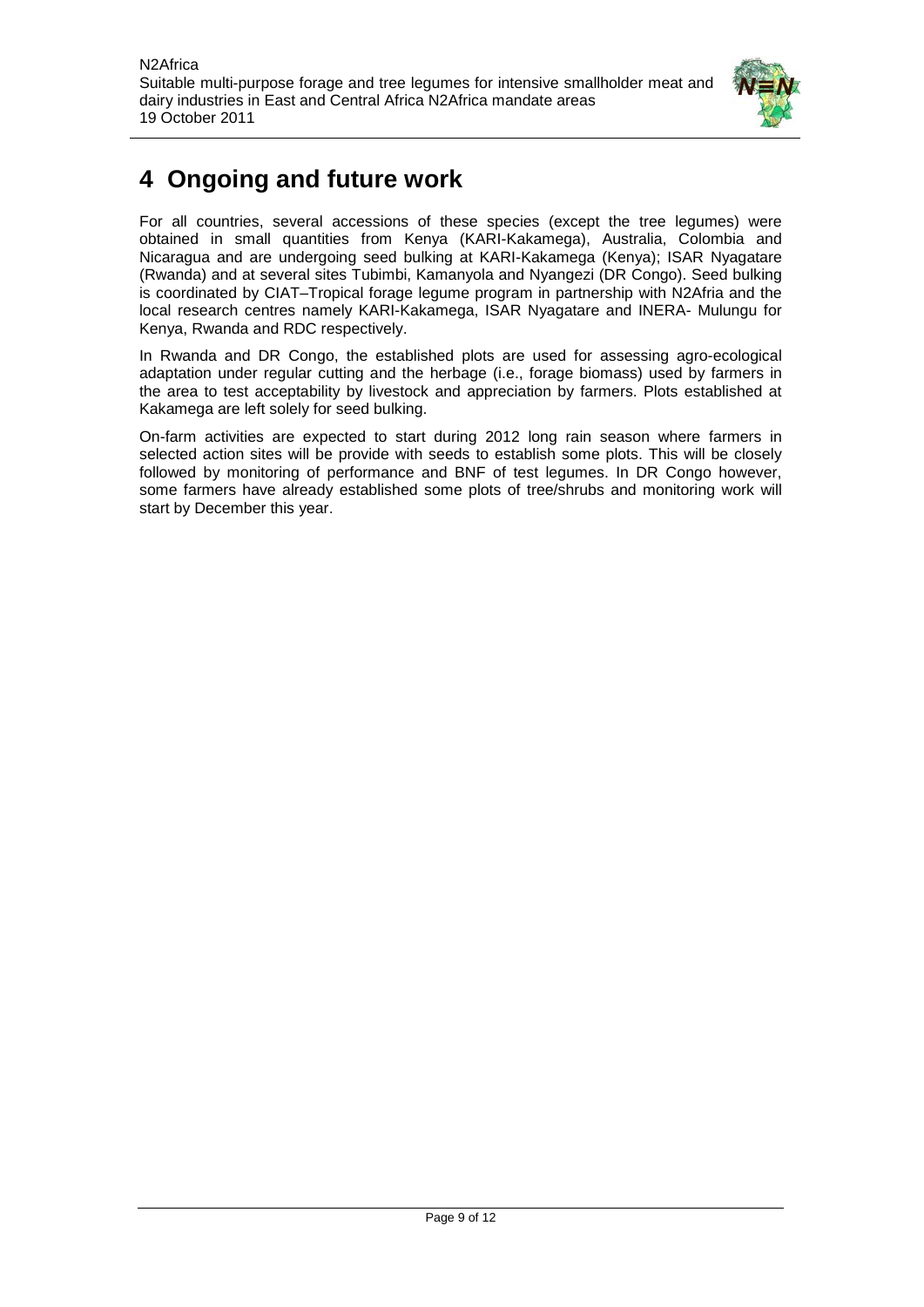

## <span id="page-8-0"></span>**4 Ongoing and future work**

For all countries, several accessions of these species (except the tree legumes) were obtained in small quantities from Kenya (KARI-Kakamega), Australia, Colombia and Nicaragua and are undergoing seed bulking at KARI-Kakamega (Kenya); ISAR Nyagatare (Rwanda) and at several sites Tubimbi, Kamanyola and Nyangezi (DR Congo). Seed bulking is coordinated by CIAT–Tropical forage legume program in partnership with N2Afria and the local research centres namely KARI-Kakamega, ISAR Nyagatare and INERA- Mulungu for Kenya, Rwanda and RDC respectively.

In Rwanda and DR Congo, the established plots are used for assessing agro-ecological adaptation under regular cutting and the herbage (i.e., forage biomass) used by farmers in the area to test acceptability by livestock and appreciation by farmers. Plots established at Kakamega are left solely for seed bulking.

On-farm activities are expected to start during 2012 long rain season where farmers in selected action sites will be provide with seeds to establish some plots. This will be closely followed by monitoring of performance and BNF of test legumes. In DR Congo however, some farmers have already established some plots of tree/shrubs and monitoring work will start by December this year.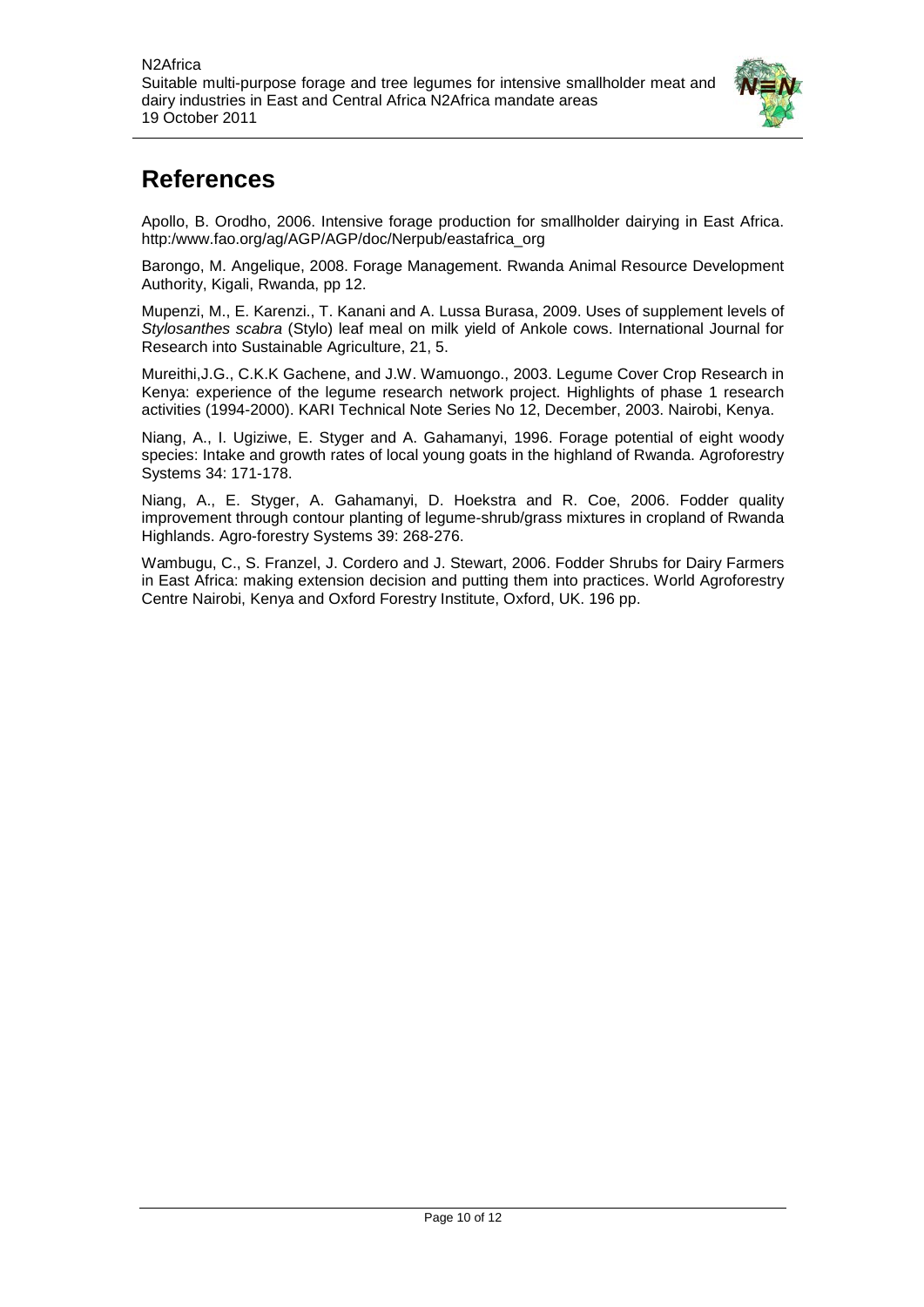

## <span id="page-9-0"></span>**References**

Apollo, B. Orodho, 2006. Intensive forage production for smallholder dairying in East Africa. http:/www.fao.org/ag/AGP/AGP/doc/Nerpub/eastafrica\_org

Barongo, M. Angelique, 2008. Forage Management. Rwanda Animal Resource Development Authority, Kigali, Rwanda, pp 12.

Mupenzi, M., E. Karenzi., T. Kanani and A. Lussa Burasa, 2009. Uses of supplement levels of *Stylosanthes scabra* (Stylo) leaf meal on milk yield of Ankole cows. International Journal for Research into Sustainable Agriculture, 21, 5.

Mureithi,J.G., C.K.K Gachene, and J.W. Wamuongo., 2003. Legume Cover Crop Research in Kenya: experience of the legume research network project. Highlights of phase 1 research activities (1994-2000). KARI Technical Note Series No 12, December, 2003. Nairobi, Kenya.

Niang, A., I. Ugiziwe, E. Styger and A. Gahamanyi, 1996. Forage potential of eight woody species: Intake and growth rates of local young goats in the highland of Rwanda. Agroforestry Systems 34: 171-178.

Niang, A., E. Styger, A. Gahamanyi, D. Hoekstra and R. Coe, 2006. Fodder quality improvement through contour planting of legume-shrub/grass mixtures in cropland of Rwanda Highlands. Agro-forestry Systems 39: 268-276.

Wambugu, C., S. Franzel, J. Cordero and J. Stewart, 2006. Fodder Shrubs for Dairy Farmers in East Africa: making extension decision and putting them into practices. World Agroforestry Centre Nairobi, Kenya and Oxford Forestry Institute, Oxford, UK. 196 pp.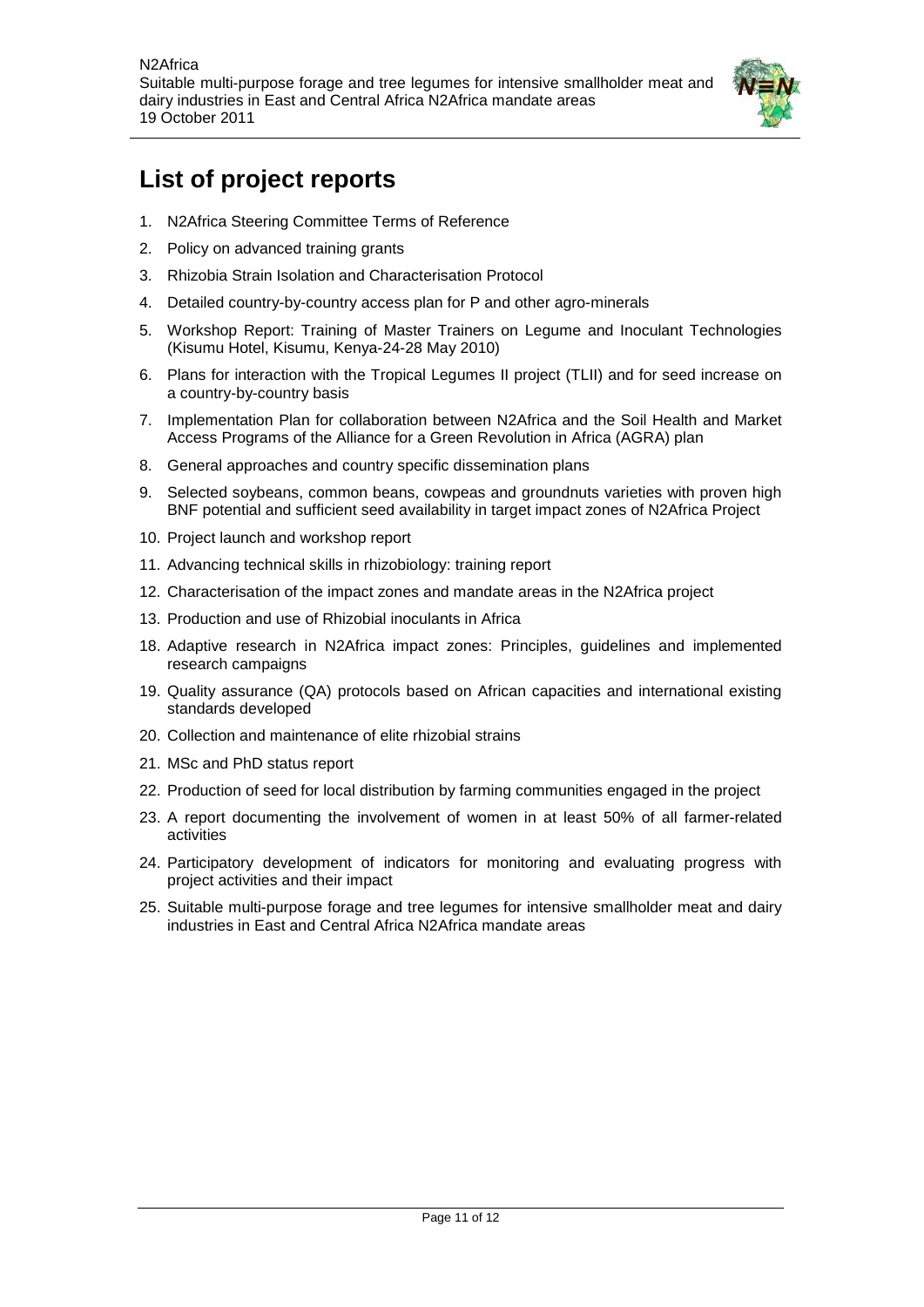

# <span id="page-10-0"></span>**List of project reports**

- 1. N2Africa Steering Committee Terms of Reference
- 2. Policy on advanced training grants
- 3. Rhizobia Strain Isolation and Characterisation Protocol
- 4. Detailed country-by-country access plan for P and other agro-minerals
- 5. Workshop Report: Training of Master Trainers on Legume and Inoculant Technologies (Kisumu Hotel, Kisumu, Kenya-24-28 May 2010)
- 6. Plans for interaction with the Tropical Legumes II project (TLII) and for seed increase on a country-by-country basis
- 7. Implementation Plan for collaboration between N2Africa and the Soil Health and Market Access Programs of the Alliance for a Green Revolution in Africa (AGRA) plan
- 8. General approaches and country specific dissemination plans
- 9. Selected soybeans, common beans, cowpeas and groundnuts varieties with proven high BNF potential and sufficient seed availability in target impact zones of N2Africa Project
- 10. Project launch and workshop report
- 11. Advancing technical skills in rhizobiology: training report
- 12. Characterisation of the impact zones and mandate areas in the N2Africa project
- 13. Production and use of Rhizobial inoculants in Africa
- 18. Adaptive research in N2Africa impact zones: Principles, guidelines and implemented research campaigns
- 19. Quality assurance (QA) protocols based on African capacities and international existing standards developed
- 20. Collection and maintenance of elite rhizobial strains
- 21. MSc and PhD status report
- 22. Production of seed for local distribution by farming communities engaged in the project
- 23. A report documenting the involvement of women in at least 50% of all farmer-related activities
- 24. Participatory development of indicators for monitoring and evaluating progress with project activities and their impact
- 25. Suitable multi-purpose forage and tree legumes for intensive smallholder meat and dairy industries in East and Central Africa N2Africa mandate areas